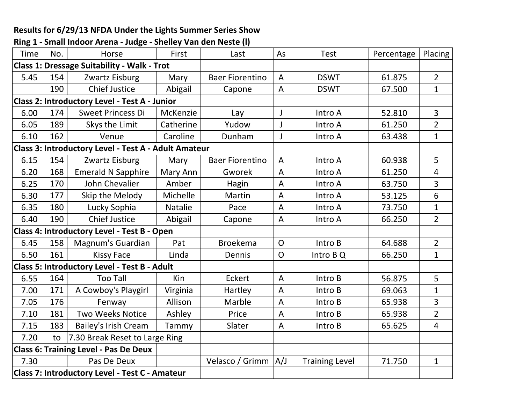## **Results for 6/29/13 NFDA Under the Lights Summer Series Show**

| <b>Time</b>                                           | No.                                          | Horse                                                | First     | Last                   | As             | <b>Test</b>           | Percentage | Placing        |
|-------------------------------------------------------|----------------------------------------------|------------------------------------------------------|-----------|------------------------|----------------|-----------------------|------------|----------------|
| <b>Class 1: Dressage Suitability - Walk - Trot</b>    |                                              |                                                      |           |                        |                |                       |            |                |
| 5.45                                                  | 154                                          | Zwartz Eisburg                                       | Mary      | <b>Baer Fiorentino</b> | $\overline{A}$ | <b>DSWT</b>           | 61.875     | $\overline{2}$ |
|                                                       | 190                                          | <b>Chief Justice</b>                                 | Abigail   | Capone                 | A              | <b>DSWT</b>           | 67.500     | $\mathbf{1}$   |
|                                                       |                                              | <b>Class 2: Introductory Level - Test A - Junior</b> |           |                        |                |                       |            |                |
| 6.00                                                  | 174                                          | <b>Sweet Princess Di</b>                             | McKenzie  | Lay                    | $\mathsf{I}$   | Intro A               | 52.810     | $\overline{3}$ |
| 6.05                                                  | 189                                          | Skys the Limit                                       | Catherine | Yudow                  |                | Intro A               | 61.250     | $\overline{2}$ |
| 6.10                                                  | 162                                          | Venue                                                | Caroline  | Dunham                 | J              | Intro A               | 63.438     | $\mathbf{1}$   |
|                                                       |                                              | Class 3: Introductory Level - Test A - Adult Amateur |           |                        |                |                       |            |                |
| 6.15                                                  | 154                                          | Zwartz Eisburg                                       | Mary      | <b>Baer Fiorentino</b> | A              | Intro A               | 60.938     | 5              |
| 6.20                                                  | 168                                          | <b>Emerald N Sapphire</b>                            | Mary Ann  | Gworek                 | A              | Intro A               | 61.250     | $\overline{4}$ |
| 6.25                                                  | 170                                          | John Chevalier                                       | Amber     | Hagin                  | A              | Intro A               | 63.750     | $\overline{3}$ |
| 6.30                                                  | 177                                          | Skip the Melody                                      | Michelle  | Martin                 | A              | Intro A               | 53.125     | 6              |
| 6.35                                                  | 180                                          | Lucky Sophia                                         | Natalie   | Pace                   | A              | Intro A               | 73.750     | $\mathbf{1}$   |
| 6.40                                                  | 190                                          | <b>Chief Justice</b>                                 | Abigail   | Capone                 | A              | Intro A               | 66.250     | $\overline{2}$ |
| Class 4: Introductory Level - Test B - Open           |                                              |                                                      |           |                        |                |                       |            |                |
| 6.45                                                  | 158                                          | Magnum's Guardian                                    | Pat       | <b>Broekema</b>        | $\mathsf{O}$   | Intro B               | 64.688     | $\overline{2}$ |
| 6.50                                                  | 161                                          | <b>Kissy Face</b>                                    | Linda     | Dennis                 | $\overline{O}$ | Intro B Q             | 66.250     | $\mathbf{1}$   |
|                                                       |                                              | <b>Class 5: Introductory Level - Test B - Adult</b>  |           |                        |                |                       |            |                |
| 6.55                                                  | 164                                          | <b>Too Tall</b>                                      | Kin       | Eckert                 | A              | Intro B               | 56.875     | 5              |
| 7.00                                                  | 171                                          | A Cowboy's Playgirl                                  | Virginia  | Hartley                | A              | Intro B               | 69.063     | $\mathbf{1}$   |
| 7.05                                                  | 176                                          | Fenway                                               | Allison   | Marble                 | $\overline{A}$ | Intro B               | 65.938     | $\overline{3}$ |
| 7.10                                                  | 181                                          | <b>Two Weeks Notice</b>                              | Ashley    | Price                  | A              | Intro B               | 65.938     | $\overline{2}$ |
| 7.15                                                  | 183                                          | <b>Bailey's Irish Cream</b>                          | Tammy     | Slater                 | A              | Intro B               | 65.625     | $\overline{4}$ |
| 7.20                                                  | to                                           | 7.30 Break Reset to Large Ring                       |           |                        |                |                       |            |                |
|                                                       | <b>Class 6: Training Level - Pas De Deux</b> |                                                      |           |                        |                |                       |            |                |
| 7.30                                                  |                                              | Pas De Deux                                          |           | Velasco / Grimm        | A/J            | <b>Training Level</b> | 71.750     | $\mathbf{1}$   |
| <b>Class 7: Introductory Level - Test C - Amateur</b> |                                              |                                                      |           |                        |                |                       |            |                |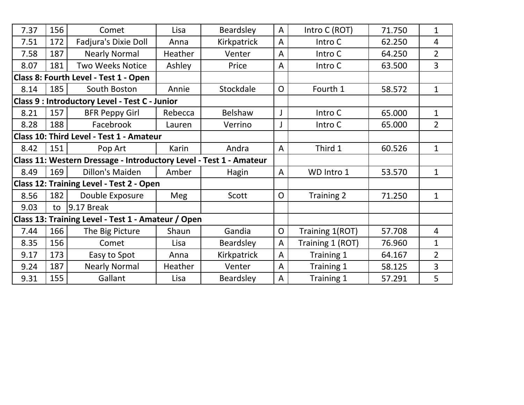| 7.37                                                               | 156 | Comet                                              | Lisa       | Beardsley   | $\overline{A}$ | Intro C (ROT)    | 71.750 | $\mathbf{1}$   |
|--------------------------------------------------------------------|-----|----------------------------------------------------|------------|-------------|----------------|------------------|--------|----------------|
| 7.51                                                               | 172 | Fadjura's Dixie Doll                               | Anna       | Kirkpatrick | A              | Intro C          | 62.250 | 4              |
| 7.58                                                               | 187 | <b>Nearly Normal</b>                               | Heather    | Venter      | A              | Intro C          | 64.250 | $\overline{2}$ |
| 8.07                                                               | 181 | <b>Two Weeks Notice</b>                            | Ashley     | Price       | $\mathsf{A}$   | Intro C          | 63.500 | 3              |
| Class 8: Fourth Level - Test 1 - Open                              |     |                                                    |            |             |                |                  |        |                |
| 8.14                                                               | 185 | South Boston                                       | Annie      | Stockdale   | $\overline{O}$ | Fourth 1         | 58.572 | $\mathbf{1}$   |
|                                                                    |     | Class 9 : Introductory Level - Test C - Junior     |            |             |                |                  |        |                |
| 8.21                                                               | 157 | <b>BFR Peppy Girl</b>                              | Rebecca    | Belshaw     | J              | Intro C          | 65.000 | $\mathbf{1}$   |
| 8.28                                                               | 188 | Facebrook                                          | Lauren     | Verrino     |                | Intro C          | 65.000 | $\overline{2}$ |
|                                                                    |     | Class 10: Third Level - Test 1 - Amateur           |            |             |                |                  |        |                |
| 8.42                                                               | 151 | Pop Art                                            | Karin      | Andra       | $\overline{A}$ | Third 1          | 60.526 | $\mathbf{1}$   |
| Class 11: Western Dressage - Introductory Level - Test 1 - Amateur |     |                                                    |            |             |                |                  |        |                |
| 8.49                                                               | 169 | Dillon's Maiden                                    | Amber      | Hagin       | $\mathsf{A}$   | WD Intro 1       | 53.570 | $\mathbf{1}$   |
|                                                                    |     | <b>Class 12: Training Level - Test 2 - Open</b>    |            |             |                |                  |        |                |
| 8.56                                                               | 182 | Double Exposure                                    | <b>Meg</b> | Scott       | $\overline{O}$ | Training 2       | 71.250 | $\mathbf{1}$   |
| 9.03                                                               | to  | $9.17$ Break                                       |            |             |                |                  |        |                |
|                                                                    |     | Class 13: Training Level - Test 1 - Amateur / Open |            |             |                |                  |        |                |
| 7.44                                                               | 166 | The Big Picture                                    | Shaun      | Gandia      | $\mathsf{O}$   | Training 1(ROT)  | 57.708 | 4              |
| 8.35                                                               | 156 | Comet                                              | Lisa       | Beardsley   | $\overline{A}$ | Training 1 (ROT) | 76.960 | $\mathbf{1}$   |
| 9.17                                                               | 173 | Easy to Spot                                       | Anna       | Kirkpatrick | $\overline{A}$ | Training 1       | 64.167 | $\overline{2}$ |
| 9.24                                                               | 187 | <b>Nearly Normal</b>                               | Heather    | Venter      | $\mathsf{A}$   | Training 1       | 58.125 | 3              |
| 9.31                                                               | 155 | Gallant                                            | Lisa       | Beardsley   | A              | Training 1       | 57.291 | 5              |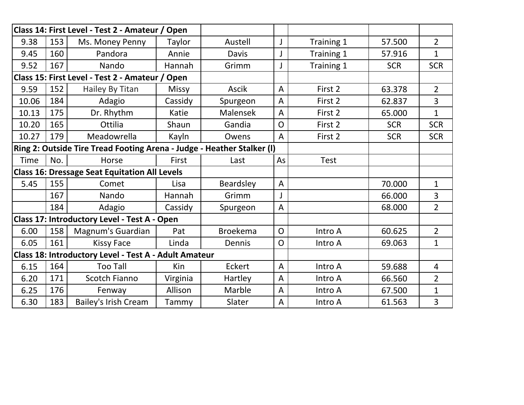|                                                       |     | Class 14: First Level - Test 2 - Amateur / Open                        |              |                 |                |             |            |                |
|-------------------------------------------------------|-----|------------------------------------------------------------------------|--------------|-----------------|----------------|-------------|------------|----------------|
| 9.38                                                  | 153 | Ms. Money Penny                                                        | Taylor       | Austell         |                | Training 1  | 57.500     | $2^{\circ}$    |
| 9.45                                                  | 160 | Pandora                                                                | Annie        | Davis           |                | Training 1  | 57.916     | $\mathbf{1}$   |
| 9.52                                                  | 167 | Nando                                                                  | Hannah       | Grimm           |                | Training 1  | <b>SCR</b> | <b>SCR</b>     |
| Class 15: First Level - Test 2 - Amateur / Open       |     |                                                                        |              |                 |                |             |            |                |
| 9.59                                                  | 152 | Hailey By Titan                                                        | <b>Missy</b> | Ascik           | $\overline{A}$ | First 2     | 63.378     | $\overline{2}$ |
| 10.06                                                 | 184 | Adagio                                                                 | Cassidy      | Spurgeon        | $\overline{A}$ | First 2     | 62.837     | $\overline{3}$ |
| 10.13                                                 | 175 | Dr. Rhythm                                                             | Katie        | Malensek        | $\overline{A}$ | First 2     | 65.000     | $\mathbf{1}$   |
| 10.20                                                 | 165 | Ottilia                                                                | Shaun        | Gandia          | $\mathsf{O}$   | First 2     | <b>SCR</b> | <b>SCR</b>     |
| 10.27                                                 | 179 | Meadowrella                                                            | Kayln        | Owens           | $\overline{A}$ | First 2     | <b>SCR</b> | <b>SCR</b>     |
|                                                       |     | Ring 2: Outside Tire Tread Footing Arena - Judge - Heather Stalker (I) |              |                 |                |             |            |                |
| <b>Time</b>                                           | No. | Horse                                                                  | First        | Last            | As             | <b>Test</b> |            |                |
| <b>Class 16: Dressage Seat Equitation All Levels</b>  |     |                                                                        |              |                 |                |             |            |                |
| 5.45                                                  | 155 | Comet                                                                  | Lisa         | Beardsley       | $\overline{A}$ |             | 70.000     | $\mathbf{1}$   |
|                                                       | 167 | Nando                                                                  | Hannah       | Grimm           |                |             | 66.000     | 3              |
|                                                       | 184 | Adagio                                                                 | Cassidy      | Spurgeon        | $\overline{A}$ |             | 68.000     | $\overline{2}$ |
|                                                       |     | Class 17: Introductory Level - Test A - Open                           |              |                 |                |             |            |                |
| 6.00                                                  | 158 | Magnum's Guardian                                                      | Pat          | <b>Broekema</b> | $\overline{O}$ | Intro A     | 60.625     | $\overline{2}$ |
| 6.05                                                  | 161 | <b>Kissy Face</b>                                                      | Linda        | Dennis          | $\overline{O}$ | Intro A     | 69.063     | $\mathbf{1}$   |
| Class 18: Introductory Level - Test A - Adult Amateur |     |                                                                        |              |                 |                |             |            |                |
| 6.15                                                  | 164 | <b>Too Tall</b>                                                        | Kin          | Eckert          | $\overline{A}$ | Intro A     | 59.688     | $\overline{4}$ |
| 6.20                                                  | 171 | Scotch Fianno                                                          | Virginia     | Hartley         | $\overline{A}$ | Intro A     | 66.560     | $\overline{2}$ |
| 6.25                                                  | 176 | Fenway                                                                 | Allison      | Marble          | $\overline{A}$ | Intro A     | 67.500     | $\mathbf{1}$   |
| 6.30                                                  | 183 | <b>Bailey's Irish Cream</b>                                            | Tammy        | Slater          | $\mathsf{A}$   | Intro A     | 61.563     | 3              |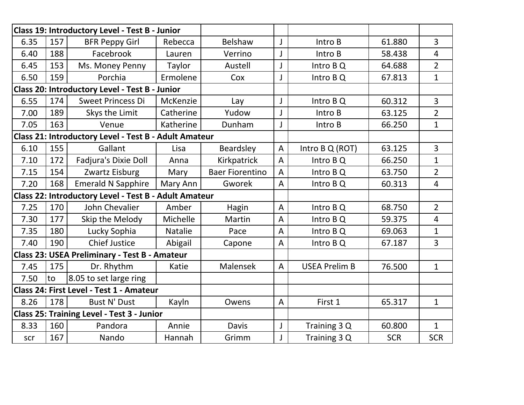| Class 19: Introductory Level - Test B - Junior               |     |                                                              |                |                        |                |                      |            |                |
|--------------------------------------------------------------|-----|--------------------------------------------------------------|----------------|------------------------|----------------|----------------------|------------|----------------|
| 6.35                                                         | 157 | <b>BFR Peppy Girl</b>                                        | Rebecca        | Belshaw                | J              | Intro B              | 61.880     | $\overline{3}$ |
| 6.40                                                         | 188 | Facebrook                                                    | Lauren         | Verrino                | J              | Intro B              | 58.438     | $\overline{4}$ |
| 6.45                                                         | 153 | Ms. Money Penny                                              | Taylor         | Austell                | J              | Intro B Q            | 64.688     | $\overline{2}$ |
| 6.50                                                         | 159 | Porchia                                                      | Ermolene       | Cox                    | J              | Intro B Q            | 67.813     | $\mathbf{1}$   |
|                                                              |     | <b>Class 20: Introductory Level - Test B - Junior</b>        |                |                        |                |                      |            |                |
| 6.55                                                         | 174 | <b>Sweet Princess Di</b>                                     | McKenzie       | Lay                    | J              | Intro B Q            | 60.312     | $\overline{3}$ |
| 7.00                                                         | 189 | Skys the Limit                                               | Catherine      | Yudow                  |                | Intro B              | 63.125     | $\overline{2}$ |
| 7.05                                                         | 163 | Venue                                                        | Katherine      | Dunham                 | J              | Intro B              | 66.250     | $\mathbf{1}$   |
|                                                              |     | <b>Class 21: Introductory Level - Test B - Adult Amateur</b> |                |                        |                |                      |            |                |
| 6.10                                                         | 155 | Gallant                                                      | Lisa           | Beardsley              | $\mathsf{A}$   | Intro B Q (ROT)      | 63.125     | $\overline{3}$ |
| 7.10                                                         | 172 | Fadjura's Dixie Doll                                         | Anna           | Kirkpatrick            | $\overline{A}$ | Intro B Q            | 66.250     | $\mathbf{1}$   |
| 7.15                                                         | 154 | Zwartz Eisburg                                               | Mary           | <b>Baer Fiorentino</b> | $\overline{A}$ | Intro B Q            | 63.750     | $\overline{2}$ |
| 7.20                                                         | 168 | <b>Emerald N Sapphire</b>                                    | Mary Ann       | Gworek                 | A              | Intro B Q            | 60.313     | $\overline{4}$ |
| <b>Class 22: Introductory Level - Test B - Adult Amateur</b> |     |                                                              |                |                        |                |                      |            |                |
| 7.25                                                         | 170 | John Chevalier                                               | Amber          | Hagin                  | $\overline{A}$ | Intro B Q            | 68.750     | $\overline{2}$ |
| 7.30                                                         | 177 | Skip the Melody                                              | Michelle       | Martin                 | $\overline{A}$ | Intro B Q            | 59.375     | $\overline{4}$ |
| 7.35                                                         | 180 | Lucky Sophia                                                 | <b>Natalie</b> | Pace                   | $\overline{A}$ | Intro B Q            | 69.063     | $\mathbf{1}$   |
| 7.40                                                         | 190 | <b>Chief Justice</b>                                         | Abigail        | Capone                 | $\overline{A}$ | Intro B Q            | 67.187     | $\overline{3}$ |
|                                                              |     | <b>Class 23: USEA Preliminary - Test B - Amateur</b>         |                |                        |                |                      |            |                |
| 7.45                                                         | 175 | Dr. Rhythm                                                   | Katie          | Malensek               | $\overline{A}$ | <b>USEA Prelim B</b> | 76.500     | $\mathbf{1}$   |
| 7.50                                                         | to  | 8.05 to set large ring                                       |                |                        |                |                      |            |                |
| Class 24: First Level - Test 1 - Amateur                     |     |                                                              |                |                        |                |                      |            |                |
| 8.26                                                         | 178 | <b>Bust N' Dust</b>                                          | Kayln          | Owens                  | $\overline{A}$ | First 1              | 65.317     | $\mathbf{1}$   |
|                                                              |     | <b>Class 25: Training Level - Test 3 - Junior</b>            |                |                        |                |                      |            |                |
| 8.33                                                         | 160 | Pandora                                                      | Annie          | Davis                  | J              | Training 3 Q         | 60.800     | $\mathbf{1}$   |
| scr                                                          | 167 | Nando                                                        | Hannah         | Grimm                  |                | Training 3 Q         | <b>SCR</b> | <b>SCR</b>     |